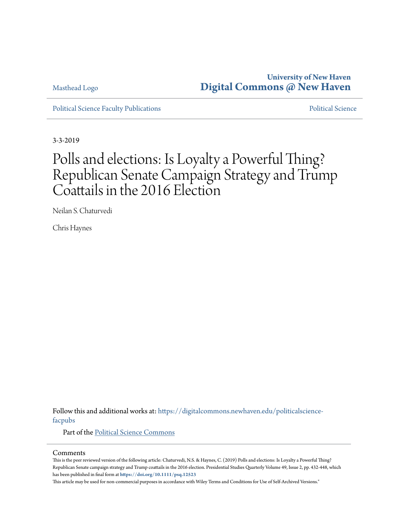### Masthead Logo

# **University of New Haven [Digital Commons @ New Haven](https://digitalcommons.newhaven.edu?utm_source=digitalcommons.newhaven.edu%2Fpoliticalscience-facpubs%2F13&utm_medium=PDF&utm_campaign=PDFCoverPages)**

[Political Science Faculty Publications](https://digitalcommons.newhaven.edu/politicalscience-facpubs?utm_source=digitalcommons.newhaven.edu%2Fpoliticalscience-facpubs%2F13&utm_medium=PDF&utm_campaign=PDFCoverPages) **[Political Science](https://digitalcommons.newhaven.edu/politicalscience?utm_source=digitalcommons.newhaven.edu%2Fpoliticalscience-facpubs%2F13&utm_medium=PDF&utm_campaign=PDFCoverPages)** Political Science

3-3-2019

# Polls and elections: Is Loyalty a Powerful Thing? Republican Senate Campaign Strategy and Trump Coattails in the 2016 Election

Neilan S. Chaturvedi

Chris Haynes

Follow this and additional works at: [https://digitalcommons.newhaven.edu/politicalscience](https://digitalcommons.newhaven.edu/politicalscience-facpubs?utm_source=digitalcommons.newhaven.edu%2Fpoliticalscience-facpubs%2F13&utm_medium=PDF&utm_campaign=PDFCoverPages)[facpubs](https://digitalcommons.newhaven.edu/politicalscience-facpubs?utm_source=digitalcommons.newhaven.edu%2Fpoliticalscience-facpubs%2F13&utm_medium=PDF&utm_campaign=PDFCoverPages)

Part of the [Political Science Commons](http://network.bepress.com/hgg/discipline/386?utm_source=digitalcommons.newhaven.edu%2Fpoliticalscience-facpubs%2F13&utm_medium=PDF&utm_campaign=PDFCoverPages)

#### Comments

This is the peer reviewed version of the following article: Chaturvedi, N.S. & Haynes, C. (2019) Polls and elections: Is Loyalty a Powerful Thing? Republican Senate campaign strategy and Trump coattails in the 2016 election. Presidential Studies Quarterly Volume 49, Issue 2, pp. 432-448, which has been published in final form at **<https://doi.org/10.1111/psq.12523>**

This article may be used for non-commercial purposes in accordance with Wiley Terms and Conditions for Use of Self-Archived Versions."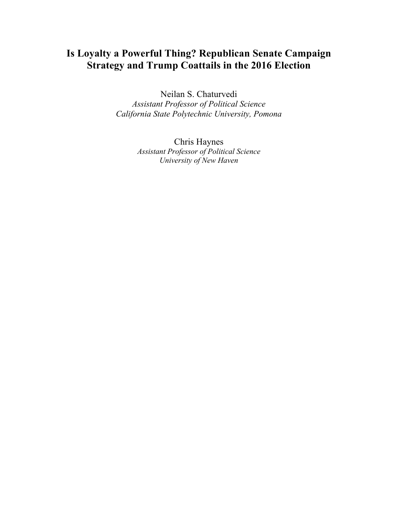# **Is Loyalty a Powerful Thing? Republican Senate Campaign Strategy and Trump Coattails in the 2016 Election**

Neilan S. Chaturvedi *Assistant Professor of Political Science California State Polytechnic University, Pomona*

> Chris Haynes *Assistant Professor of Political Science University of New Haven*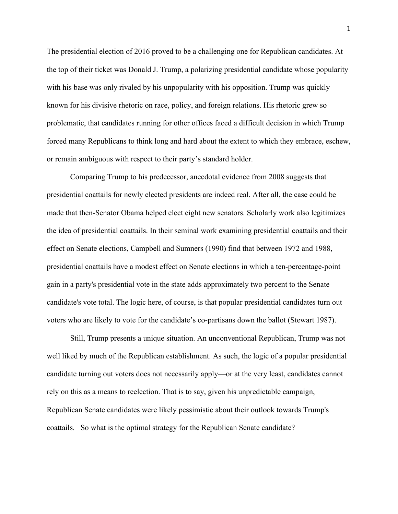The presidential election of 2016 proved to be a challenging one for Republican candidates. At the top of their ticket was Donald J. Trump, a polarizing presidential candidate whose popularity with his base was only rivaled by his unpopularity with his opposition. Trump was quickly known for his divisive rhetoric on race, policy, and foreign relations. His rhetoric grew so problematic, that candidates running for other offices faced a difficult decision in which Trump forced many Republicans to think long and hard about the extent to which they embrace, eschew, or remain ambiguous with respect to their party's standard holder.

Comparing Trump to his predecessor, anecdotal evidence from 2008 suggests that presidential coattails for newly elected presidents are indeed real. After all, the case could be made that then-Senator Obama helped elect eight new senators. Scholarly work also legitimizes the idea of presidential coattails. In their seminal work examining presidential coattails and their effect on Senate elections, Campbell and Sumners (1990) find that between 1972 and 1988, presidential coattails have a modest effect on Senate elections in which a ten-percentage-point gain in a party's presidential vote in the state adds approximately two percent to the Senate candidate's vote total. The logic here, of course, is that popular presidential candidates turn out voters who are likely to vote for the candidate's co-partisans down the ballot (Stewart 1987).

Still, Trump presents a unique situation. An unconventional Republican, Trump was not well liked by much of the Republican establishment. As such, the logic of a popular presidential candidate turning out voters does not necessarily apply—or at the very least, candidates cannot rely on this as a means to reelection. That is to say, given his unpredictable campaign, Republican Senate candidates were likely pessimistic about their outlook towards Trump's coattails. So what is the optimal strategy for the Republican Senate candidate?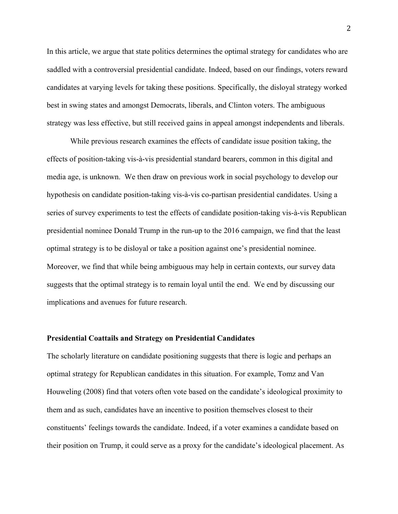In this article, we argue that state politics determines the optimal strategy for candidates who are saddled with a controversial presidential candidate. Indeed, based on our findings, voters reward candidates at varying levels for taking these positions. Specifically, the disloyal strategy worked best in swing states and amongst Democrats, liberals, and Clinton voters. The ambiguous strategy was less effective, but still received gains in appeal amongst independents and liberals.

While previous research examines the effects of candidate issue position taking, the effects of position-taking vis-à-vis presidential standard bearers, common in this digital and media age, is unknown. We then draw on previous work in social psychology to develop our hypothesis on candidate position-taking vis-à-vis co-partisan presidential candidates. Using a series of survey experiments to test the effects of candidate position-taking vis-à-vis Republican presidential nominee Donald Trump in the run-up to the 2016 campaign, we find that the least optimal strategy is to be disloyal or take a position against one's presidential nominee. Moreover, we find that while being ambiguous may help in certain contexts, our survey data suggests that the optimal strategy is to remain loyal until the end. We end by discussing our implications and avenues for future research.

#### **Presidential Coattails and Strategy on Presidential Candidates**

The scholarly literature on candidate positioning suggests that there is logic and perhaps an optimal strategy for Republican candidates in this situation. For example, Tomz and Van Houweling (2008) find that voters often vote based on the candidate's ideological proximity to them and as such, candidates have an incentive to position themselves closest to their constituents' feelings towards the candidate. Indeed, if a voter examines a candidate based on their position on Trump, it could serve as a proxy for the candidate's ideological placement. As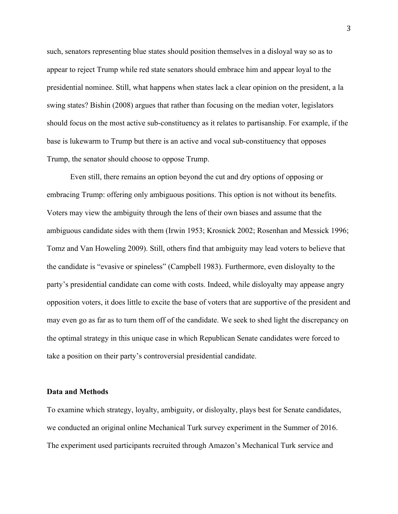such, senators representing blue states should position themselves in a disloyal way so as to appear to reject Trump while red state senators should embrace him and appear loyal to the presidential nominee. Still, what happens when states lack a clear opinion on the president, a la swing states? Bishin (2008) argues that rather than focusing on the median voter, legislators should focus on the most active sub-constituency as it relates to partisanship. For example, if the base is lukewarm to Trump but there is an active and vocal sub-constituency that opposes Trump, the senator should choose to oppose Trump.

Even still, there remains an option beyond the cut and dry options of opposing or embracing Trump: offering only ambiguous positions. This option is not without its benefits. Voters may view the ambiguity through the lens of their own biases and assume that the ambiguous candidate sides with them (Irwin 1953; Krosnick 2002; Rosenhan and Messick 1996; Tomz and Van Howeling 2009). Still, others find that ambiguity may lead voters to believe that the candidate is "evasive or spineless" (Campbell 1983). Furthermore, even disloyalty to the party's presidential candidate can come with costs. Indeed, while disloyalty may appease angry opposition voters, it does little to excite the base of voters that are supportive of the president and may even go as far as to turn them off of the candidate. We seek to shed light the discrepancy on the optimal strategy in this unique case in which Republican Senate candidates were forced to take a position on their party's controversial presidential candidate.

#### **Data and Methods**

To examine which strategy, loyalty, ambiguity, or disloyalty, plays best for Senate candidates, we conducted an original online Mechanical Turk survey experiment in the Summer of 2016. The experiment used participants recruited through Amazon's Mechanical Turk service and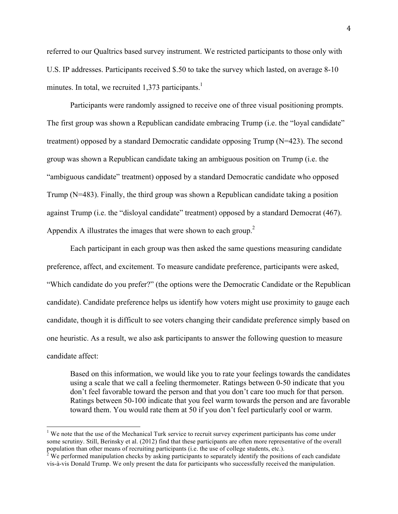referred to our Qualtrics based survey instrument. We restricted participants to those only with U.S. IP addresses. Participants received \$.50 to take the survey which lasted, on average 8-10 minutes. In total, we recruited 1,373 participants.<sup>1</sup>

Participants were randomly assigned to receive one of three visual positioning prompts. The first group was shown a Republican candidate embracing Trump (i.e. the "loyal candidate" treatment) opposed by a standard Democratic candidate opposing Trump (N=423). The second group was shown a Republican candidate taking an ambiguous position on Trump (i.e. the "ambiguous candidate" treatment) opposed by a standard Democratic candidate who opposed Trump (N=483). Finally, the third group was shown a Republican candidate taking a position against Trump (i.e. the "disloyal candidate" treatment) opposed by a standard Democrat (467). Appendix A illustrates the images that were shown to each group.<sup>2</sup>

Each participant in each group was then asked the same questions measuring candidate preference, affect, and excitement. To measure candidate preference, participants were asked, "Which candidate do you prefer?" (the options were the Democratic Candidate or the Republican candidate). Candidate preference helps us identify how voters might use proximity to gauge each candidate, though it is difficult to see voters changing their candidate preference simply based on one heuristic. As a result, we also ask participants to answer the following question to measure candidate affect:

Based on this information, we would like you to rate your feelings towards the candidates using a scale that we call a feeling thermometer. Ratings between 0-50 indicate that you don't feel favorable toward the person and that you don't care too much for that person. Ratings between 50-100 indicate that you feel warm towards the person and are favorable toward them. You would rate them at 50 if you don't feel particularly cool or warm.

<sup>&</sup>lt;sup>1</sup> We note that the use of the Mechanical Turk service to recruit survey experiment participants has come under some scrutiny. Still, Berinsky et al. (2012) find that these participants are often more representative of the overall population than other means of recruiting participants (i.e. the use of college students, etc.).<br><sup>2</sup> We performed manipulation checks by asking participants to separately identify the positions of each candidate

vis-à-vis Donald Trump. We only present the data for participants who successfully received the manipulation.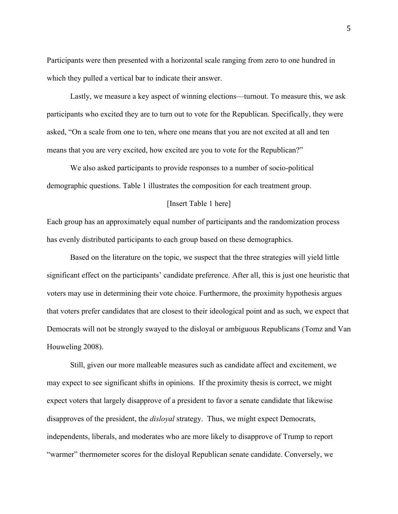Participants were then presented with a horizontal scale ranging from zero to one hundred in which they pulled a vertical bar to indicate their answer.

Lastly, we measure a key aspect of winning elections—turnout. To measure this, we ask participants who excited they are to turn out to vote for the Republican. Specifically, they were asked, "On a scale from one to ten, where one means that you are not excited at all and ten means that you are very excited, how excited are you to vote for the Republican?"

We also asked participants to provide responses to a number of socio-political demographic questions. Table 1 illustrates the composition for each treatment group.

#### [Insert Table 1 here]

Each group has an approximately equal number of participants and the randomization process has evenly distributed participants to each group based on these demographics.

Based on the literature on the topic, we suspect that the three strategies will yield little significant effect on the participants' candidate preference. After all, this is just one heuristic that voters may use in determining their vote choice. Furthermore, the proximity hypothesis argues that voters prefer candidates that are closest to their ideological point and as such, we expect that Democrats will not be strongly swayed to the disloyal or ambiguous Republicans (Tomz and Van Houweling 2008).

Still, given our more malleable measures such as candidate affect and excitement, we may expect to see significant shifts in opinions. If the proximity thesis is correct, we might expect voters that largely disapprove of a president to favor a senate candidate that likewise disapproves of the president, the *disloyal* strategy. Thus, we might expect Democrats, independents, liberals, and moderates who are more likely to disapprove of Trump to report "warmer" thermometer scores for the disloyal Republican senate candidate. Conversely, we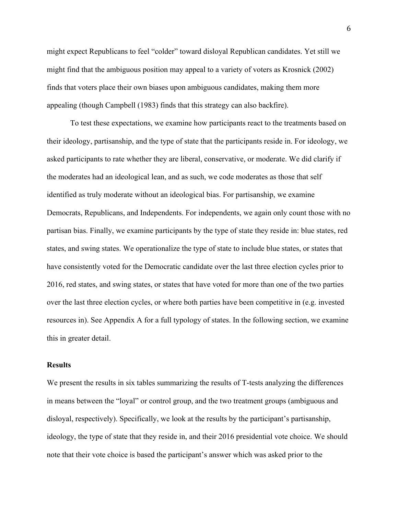might expect Republicans to feel "colder" toward disloyal Republican candidates. Yet still we might find that the ambiguous position may appeal to a variety of voters as Krosnick (2002) finds that voters place their own biases upon ambiguous candidates, making them more appealing (though Campbell (1983) finds that this strategy can also backfire).

To test these expectations, we examine how participants react to the treatments based on their ideology, partisanship, and the type of state that the participants reside in. For ideology, we asked participants to rate whether they are liberal, conservative, or moderate. We did clarify if the moderates had an ideological lean, and as such, we code moderates as those that self identified as truly moderate without an ideological bias. For partisanship, we examine Democrats, Republicans, and Independents. For independents, we again only count those with no partisan bias. Finally, we examine participants by the type of state they reside in: blue states, red states, and swing states. We operationalize the type of state to include blue states, or states that have consistently voted for the Democratic candidate over the last three election cycles prior to 2016, red states, and swing states, or states that have voted for more than one of the two parties over the last three election cycles, or where both parties have been competitive in (e.g. invested resources in). See Appendix A for a full typology of states. In the following section, we examine this in greater detail.

#### **Results**

We present the results in six tables summarizing the results of T-tests analyzing the differences in means between the "loyal" or control group, and the two treatment groups (ambiguous and disloyal, respectively). Specifically, we look at the results by the participant's partisanship, ideology, the type of state that they reside in, and their 2016 presidential vote choice. We should note that their vote choice is based the participant's answer which was asked prior to the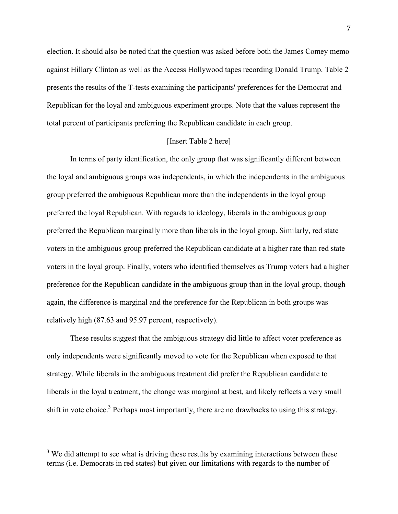election. It should also be noted that the question was asked before both the James Comey memo against Hillary Clinton as well as the Access Hollywood tapes recording Donald Trump. Table 2 presents the results of the T-tests examining the participants' preferences for the Democrat and Republican for the loyal and ambiguous experiment groups. Note that the values represent the total percent of participants preferring the Republican candidate in each group.

#### [Insert Table 2 here]

In terms of party identification, the only group that was significantly different between the loyal and ambiguous groups was independents, in which the independents in the ambiguous group preferred the ambiguous Republican more than the independents in the loyal group preferred the loyal Republican. With regards to ideology, liberals in the ambiguous group preferred the Republican marginally more than liberals in the loyal group. Similarly, red state voters in the ambiguous group preferred the Republican candidate at a higher rate than red state voters in the loyal group. Finally, voters who identified themselves as Trump voters had a higher preference for the Republican candidate in the ambiguous group than in the loyal group, though again, the difference is marginal and the preference for the Republican in both groups was relatively high (87.63 and 95.97 percent, respectively).

These results suggest that the ambiguous strategy did little to affect voter preference as only independents were significantly moved to vote for the Republican when exposed to that strategy. While liberals in the ambiguous treatment did prefer the Republican candidate to liberals in the loyal treatment, the change was marginal at best, and likely reflects a very small shift in vote choice.<sup>3</sup> Perhaps most importantly, there are no drawbacks to using this strategy.

 $3$  We did attempt to see what is driving these results by examining interactions between these terms (i.e. Democrats in red states) but given our limitations with regards to the number of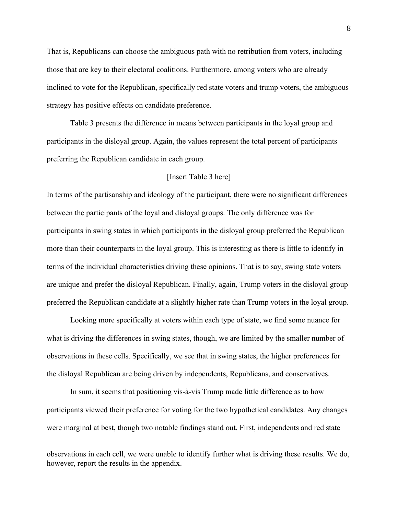That is, Republicans can choose the ambiguous path with no retribution from voters, including those that are key to their electoral coalitions. Furthermore, among voters who are already inclined to vote for the Republican, specifically red state voters and trump voters, the ambiguous strategy has positive effects on candidate preference.

Table 3 presents the difference in means between participants in the loyal group and participants in the disloyal group. Again, the values represent the total percent of participants preferring the Republican candidate in each group.

#### [Insert Table 3 here]

In terms of the partisanship and ideology of the participant, there were no significant differences between the participants of the loyal and disloyal groups. The only difference was for participants in swing states in which participants in the disloyal group preferred the Republican more than their counterparts in the loyal group. This is interesting as there is little to identify in terms of the individual characteristics driving these opinions. That is to say, swing state voters are unique and prefer the disloyal Republican. Finally, again, Trump voters in the disloyal group preferred the Republican candidate at a slightly higher rate than Trump voters in the loyal group.

Looking more specifically at voters within each type of state, we find some nuance for what is driving the differences in swing states, though, we are limited by the smaller number of observations in these cells. Specifically, we see that in swing states, the higher preferences for the disloyal Republican are being driven by independents, Republicans, and conservatives.

In sum, it seems that positioning vis-à-vis Trump made little difference as to how participants viewed their preference for voting for the two hypothetical candidates. Any changes were marginal at best, though two notable findings stand out. First, independents and red state

<u> 1989 - Andrea San Andrea San Andrea San Andrea San Andrea San Andrea San Andrea San Andrea San Andrea San An</u>

observations in each cell, we were unable to identify further what is driving these results. We do, however, report the results in the appendix.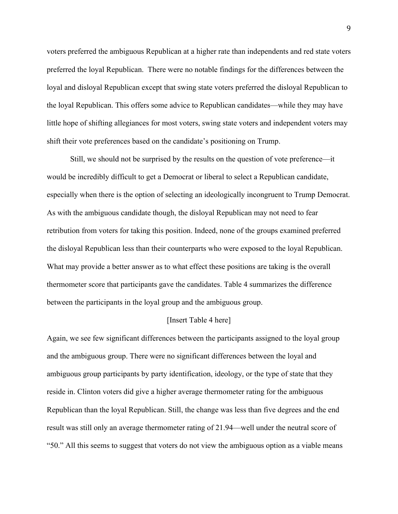voters preferred the ambiguous Republican at a higher rate than independents and red state voters preferred the loyal Republican. There were no notable findings for the differences between the loyal and disloyal Republican except that swing state voters preferred the disloyal Republican to the loyal Republican. This offers some advice to Republican candidates—while they may have little hope of shifting allegiances for most voters, swing state voters and independent voters may shift their vote preferences based on the candidate's positioning on Trump.

Still, we should not be surprised by the results on the question of vote preference—it would be incredibly difficult to get a Democrat or liberal to select a Republican candidate, especially when there is the option of selecting an ideologically incongruent to Trump Democrat. As with the ambiguous candidate though, the disloyal Republican may not need to fear retribution from voters for taking this position. Indeed, none of the groups examined preferred the disloyal Republican less than their counterparts who were exposed to the loyal Republican. What may provide a better answer as to what effect these positions are taking is the overall thermometer score that participants gave the candidates. Table 4 summarizes the difference between the participants in the loyal group and the ambiguous group.

#### [Insert Table 4 here]

Again, we see few significant differences between the participants assigned to the loyal group and the ambiguous group. There were no significant differences between the loyal and ambiguous group participants by party identification, ideology, or the type of state that they reside in. Clinton voters did give a higher average thermometer rating for the ambiguous Republican than the loyal Republican. Still, the change was less than five degrees and the end result was still only an average thermometer rating of 21.94—well under the neutral score of "50." All this seems to suggest that voters do not view the ambiguous option as a viable means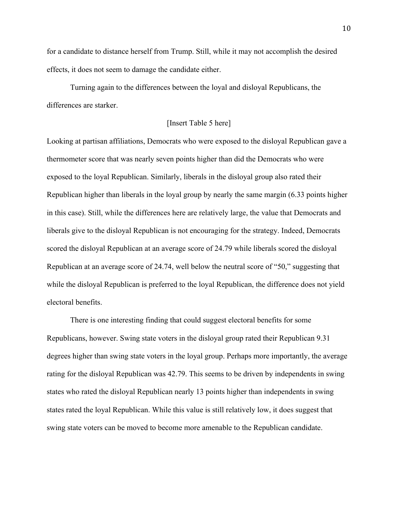for a candidate to distance herself from Trump. Still, while it may not accomplish the desired effects, it does not seem to damage the candidate either.

Turning again to the differences between the loyal and disloyal Republicans, the differences are starker.

#### [Insert Table 5 here]

Looking at partisan affiliations, Democrats who were exposed to the disloyal Republican gave a thermometer score that was nearly seven points higher than did the Democrats who were exposed to the loyal Republican. Similarly, liberals in the disloyal group also rated their Republican higher than liberals in the loyal group by nearly the same margin (6.33 points higher in this case). Still, while the differences here are relatively large, the value that Democrats and liberals give to the disloyal Republican is not encouraging for the strategy. Indeed, Democrats scored the disloyal Republican at an average score of 24.79 while liberals scored the disloyal Republican at an average score of 24.74, well below the neutral score of "50," suggesting that while the disloyal Republican is preferred to the loyal Republican, the difference does not yield electoral benefits.

There is one interesting finding that could suggest electoral benefits for some Republicans, however. Swing state voters in the disloyal group rated their Republican 9.31 degrees higher than swing state voters in the loyal group. Perhaps more importantly, the average rating for the disloyal Republican was 42.79. This seems to be driven by independents in swing states who rated the disloyal Republican nearly 13 points higher than independents in swing states rated the loyal Republican. While this value is still relatively low, it does suggest that swing state voters can be moved to become more amenable to the Republican candidate.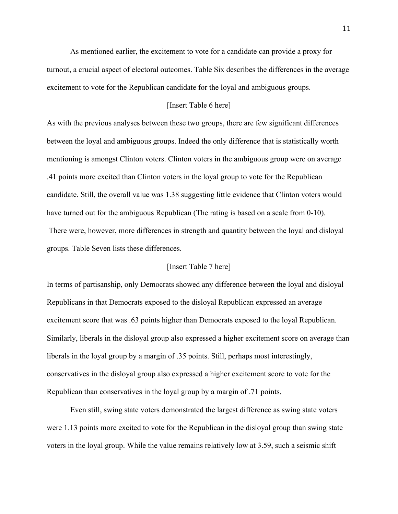As mentioned earlier, the excitement to vote for a candidate can provide a proxy for turnout, a crucial aspect of electoral outcomes. Table Six describes the differences in the average excitement to vote for the Republican candidate for the loyal and ambiguous groups.

#### [Insert Table 6 here]

As with the previous analyses between these two groups, there are few significant differences between the loyal and ambiguous groups. Indeed the only difference that is statistically worth mentioning is amongst Clinton voters. Clinton voters in the ambiguous group were on average .41 points more excited than Clinton voters in the loyal group to vote for the Republican candidate. Still, the overall value was 1.38 suggesting little evidence that Clinton voters would have turned out for the ambiguous Republican (The rating is based on a scale from 0-10). There were, however, more differences in strength and quantity between the loyal and disloyal groups. Table Seven lists these differences.

#### [Insert Table 7 here]

In terms of partisanship, only Democrats showed any difference between the loyal and disloyal Republicans in that Democrats exposed to the disloyal Republican expressed an average excitement score that was .63 points higher than Democrats exposed to the loyal Republican. Similarly, liberals in the disloyal group also expressed a higher excitement score on average than liberals in the loyal group by a margin of .35 points. Still, perhaps most interestingly, conservatives in the disloyal group also expressed a higher excitement score to vote for the Republican than conservatives in the loyal group by a margin of .71 points.

Even still, swing state voters demonstrated the largest difference as swing state voters were 1.13 points more excited to vote for the Republican in the disloyal group than swing state voters in the loyal group. While the value remains relatively low at 3.59, such a seismic shift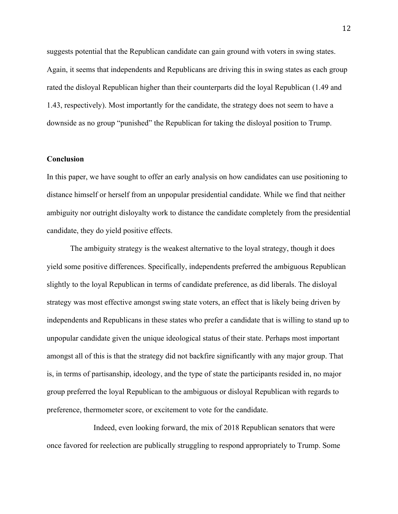suggests potential that the Republican candidate can gain ground with voters in swing states. Again, it seems that independents and Republicans are driving this in swing states as each group rated the disloyal Republican higher than their counterparts did the loyal Republican (1.49 and 1.43, respectively). Most importantly for the candidate, the strategy does not seem to have a downside as no group "punished" the Republican for taking the disloyal position to Trump.

#### **Conclusion**

In this paper, we have sought to offer an early analysis on how candidates can use positioning to distance himself or herself from an unpopular presidential candidate. While we find that neither ambiguity nor outright disloyalty work to distance the candidate completely from the presidential candidate, they do yield positive effects.

The ambiguity strategy is the weakest alternative to the loyal strategy, though it does yield some positive differences. Specifically, independents preferred the ambiguous Republican slightly to the loyal Republican in terms of candidate preference, as did liberals. The disloyal strategy was most effective amongst swing state voters, an effect that is likely being driven by independents and Republicans in these states who prefer a candidate that is willing to stand up to unpopular candidate given the unique ideological status of their state. Perhaps most important amongst all of this is that the strategy did not backfire significantly with any major group. That is, in terms of partisanship, ideology, and the type of state the participants resided in, no major group preferred the loyal Republican to the ambiguous or disloyal Republican with regards to preference, thermometer score, or excitement to vote for the candidate.

Indeed, even looking forward, the mix of 2018 Republican senators that were once favored for reelection are publically struggling to respond appropriately to Trump. Some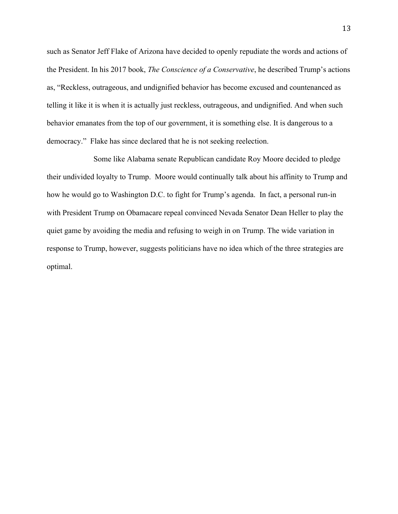such as Senator Jeff Flake of Arizona have decided to openly repudiate the words and actions of the President. In his 2017 book, *The Conscience of a Conservative*, he described Trump's actions as, "Reckless, outrageous, and undignified behavior has become excused and countenanced as telling it like it is when it is actually just reckless, outrageous, and undignified. And when such behavior emanates from the top of our government, it is something else. It is dangerous to a democracy." Flake has since declared that he is not seeking reelection.

Some like Alabama senate Republican candidate Roy Moore decided to pledge their undivided loyalty to Trump. Moore would continually talk about his affinity to Trump and how he would go to Washington D.C. to fight for Trump's agenda. In fact, a personal run-in with President Trump on Obamacare repeal convinced Nevada Senator Dean Heller to play the quiet game by avoiding the media and refusing to weigh in on Trump. The wide variation in response to Trump, however, suggests politicians have no idea which of the three strategies are optimal.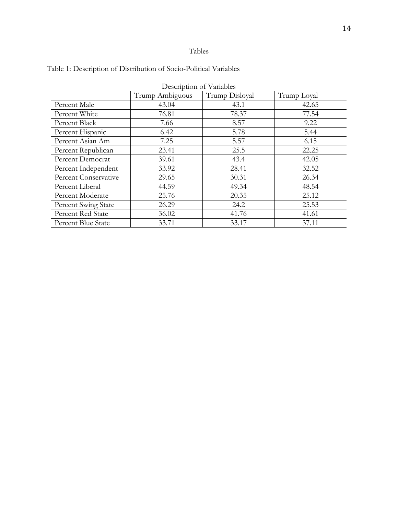## Tables

| Description of Variables |                 |                |             |  |  |
|--------------------------|-----------------|----------------|-------------|--|--|
|                          | Trump Ambiguous | Trump Disloyal | Trump Loyal |  |  |
| Percent Male             | 43.04           | 43.1           | 42.65       |  |  |
| Percent White            | 76.81           | 78.37          | 77.54       |  |  |
| Percent Black            | 7.66            | 8.57           | 9.22        |  |  |
| Percent Hispanic         | 6.42            | 5.78           | 5.44        |  |  |
| Percent Asian Am         | 7.25            | 5.57           | 6.15        |  |  |
| Percent Republican       | 23.41           | 25.5           | 22.25       |  |  |
| Percent Democrat         | 39.61           | 43.4           | 42.05       |  |  |
| Percent Independent      | 33.92           | 28.41          | 32.52       |  |  |
| Percent Conservative     | 29.65           | 30.31          | 26.34       |  |  |
| Percent Liberal          | 44.59           | 49.34          | 48.54       |  |  |
| Percent Moderate         | 25.76           | 20.35          | 25.12       |  |  |
| Percent Swing State      | 26.29           | 24.2           | 25.53       |  |  |
| Percent Red State        | 36.02           | 41.76          | 41.61       |  |  |
| Percent Blue State       | 33.71           | 33.17          | 37.11       |  |  |

Table 1: Description of Distribution of Socio-Political Variables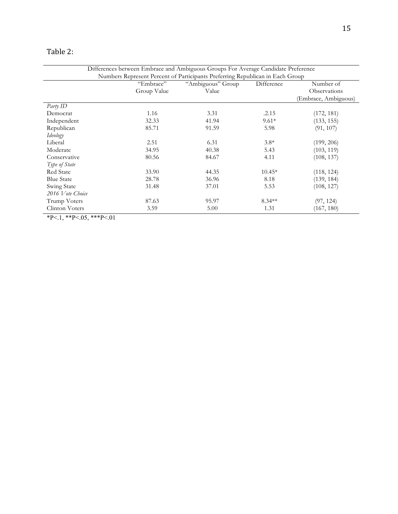## Table 2:

|                   | "Embrace"   | "Ambiguous" Group | Difference | Number of            |
|-------------------|-------------|-------------------|------------|----------------------|
|                   | Group Value | Value             |            | Observations         |
|                   |             |                   |            | (Embrace, Ambiguous) |
| Party ID          |             |                   |            |                      |
| Democrat          | 1.16        | 3.31              | .2.15      | (172, 181)           |
| Independent       | 32.33       | 41.94             | $9.61*$    | (133, 155)           |
| Republican        | 85.71       | 91.59             | 5.98       | (91, 107)            |
| Ideology          |             |                   |            |                      |
| Liberal           | 2.51        | 6.31              | $3.8*$     | (199, 206)           |
| Moderate          | 34.95       | 40.38             | 5.43       | (103, 119)           |
| Conservative      | 80.56       | 84.67             | 4.11       | (108, 137)           |
| Type of State     |             |                   |            |                      |
| <b>Red State</b>  | 33.90       | 44.35             | $10.45*$   | (118, 124)           |
| <b>Blue State</b> | 28.78       | 36.96             | 8.18       | (139, 184)           |
| Swing State       | 31.48       | 37.01             | 5.53       | (108, 127)           |
| 2016 Vote Choice  |             |                   |            |                      |
| Trump Voters      | 87.63       | 95.97             | $8.34**$   | (97, 124)            |
| Clinton Voters    | 3.59        | 5.00              | 1.31       | (167, 180)           |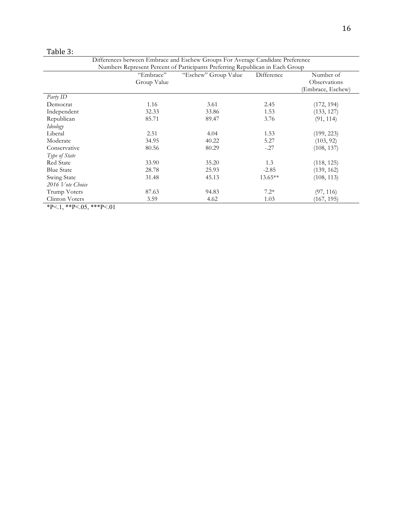| ≏<br>ani<br>г |
|---------------|
|---------------|

| Differences between Embrace and Eschew Groups For Average Candidate Preference |                                                                               |                      |            |                   |
|--------------------------------------------------------------------------------|-------------------------------------------------------------------------------|----------------------|------------|-------------------|
|                                                                                | Numbers Represent Percent of Participants Preferring Republican in Each Group |                      |            |                   |
|                                                                                | "Embrace"                                                                     | "Eschew" Group Value | Difference | Number of         |
|                                                                                | Group Value                                                                   |                      |            | Observations      |
|                                                                                |                                                                               |                      |            | (Embrace, Eschew) |
| Party ID                                                                       |                                                                               |                      |            |                   |
| Democrat                                                                       | 1.16                                                                          | 3.61                 | 2.45       | (172, 194)        |
| Independent                                                                    | 32.33                                                                         | 33.86                | 1.53       | (133, 127)        |
| Republican                                                                     | 85.71                                                                         | 89.47                | 3.76       | (91, 114)         |
| Ideology                                                                       |                                                                               |                      |            |                   |
| Liberal                                                                        | 2.51                                                                          | 4.04                 | 1.53       | (199, 223)        |
| Moderate                                                                       | 34.95                                                                         | 40.22                | 5.27       | (103, 92)         |
| Conservative                                                                   | 80.56                                                                         | 80.29                | $-.27$     | (108, 137)        |
| Type of State                                                                  |                                                                               |                      |            |                   |
| Red State                                                                      | 33.90                                                                         | 35.20                | 1.3        | (118, 125)        |
| <b>Blue State</b>                                                              | 28.78                                                                         | 25.93                | $-2.85$    | (139, 162)        |
| Swing State                                                                    | 31.48                                                                         | 45.13                | 13.65**    | (108, 113)        |
| 2016 Vote Choice                                                               |                                                                               |                      |            |                   |
| Trump Voters                                                                   | 87.63                                                                         | 94.83                | $7.2*$     | (97, 116)         |
| Clinton Voters                                                                 | 3.59                                                                          | 4.62                 | 1.03       | (167, 195)        |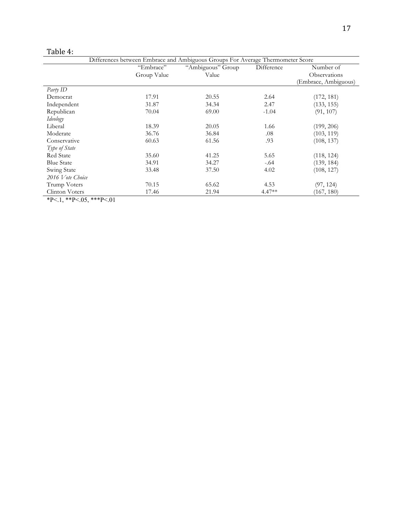| Differences between Embrace and Ambiguous Groups For Average Thermometer Score |             |                   |            |                      |
|--------------------------------------------------------------------------------|-------------|-------------------|------------|----------------------|
|                                                                                | "Embrace"   | "Ambiguous" Group | Difference | Number of            |
|                                                                                | Group Value | Value             |            | Observations         |
|                                                                                |             |                   |            | (Embrace, Ambiguous) |
| Party ID                                                                       |             |                   |            |                      |
| Democrat                                                                       | 17.91       | 20.55             | 2.64       | (172, 181)           |
| Independent                                                                    | 31.87       | 34.34             | 2.47       | (133, 155)           |
| Republican                                                                     | 70.04       | 69.00             | $-1.04$    | (91, 107)            |
| Ideology                                                                       |             |                   |            |                      |
| Liberal                                                                        | 18.39       | 20.05             | 1.66       | (199, 206)           |
| Moderate                                                                       | 36.76       | 36.84             | .08        | (103, 119)           |
| Conservative                                                                   | 60.63       | 61.56             | .93        | (108, 137)           |
| Type of State                                                                  |             |                   |            |                      |
| <b>Red State</b>                                                               | 35.60       | 41.25             | 5.65       | (118, 124)           |
| <b>Blue State</b>                                                              | 34.91       | 34.27             | $-.64$     | (139, 184)           |
| Swing State                                                                    | 33.48       | 37.50             | 4.02       | (108, 127)           |
| 2016 Vote Choice                                                               |             |                   |            |                      |
| Trump Voters                                                                   | 70.15       | 65.62             | 4.53       | (97, 124)            |
| Clinton Voters                                                                 | 17.46       | 21.94             | $4.47**$   | (167, 180)           |
| ** * * *** * * * *** * **                                                      |             |                   |            |                      |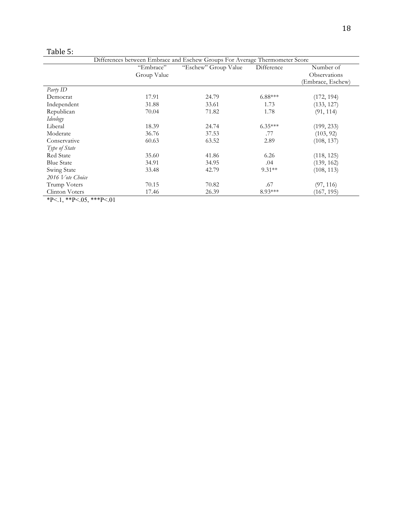| ы<br>r. | nı<br>ο |  |
|---------|---------|--|
|         |         |  |

|                   | "Embrace"   | "Eschew" Group Value | Difference | Number of         |
|-------------------|-------------|----------------------|------------|-------------------|
|                   | Group Value |                      |            | Observations      |
|                   |             |                      |            | (Embrace, Eschew) |
| Party ID          |             |                      |            |                   |
| Democrat          | 17.91       | 24.79                | $6.88***$  | (172, 194)        |
| Independent       | 31.88       | 33.61                | 1.73       | (133, 127)        |
| Republican        | 70.04       | 71.82                | 1.78       | (91, 114)         |
| Ideology          |             |                      |            |                   |
| Liberal           | 18.39       | 24.74                | $6.35***$  | (199, 233)        |
| Moderate          | 36.76       | 37.53                | .77        | (103, 92)         |
| Conservative      | 60.63       | 63.52                | 2.89       | (108, 137)        |
| Type of State     |             |                      |            |                   |
| Red State         | 35.60       | 41.86                | 6.26       | (118, 125)        |
| <b>Blue State</b> | 34.91       | 34.95                | .04        | (139, 162)        |
| Swing State       | 33.48       | 42.79                | $9.31**$   | (108, 113)        |
| 2016 Vote Choice  |             |                      |            |                   |
| Trump Voters      | 70.15       | 70.82                | .67        | (97, 116)         |
| Clinton Voters    | 17.46       | 26.39                | 8.93***    | (167, 195)        |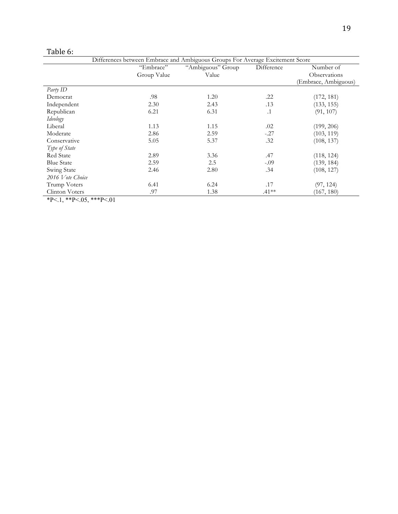| anle |  |
|------|--|
|      |  |

|                   | "Embrace"   | "Ambiguous" Group | Difference | Number of            |
|-------------------|-------------|-------------------|------------|----------------------|
|                   | Group Value | Value             |            | Observations         |
|                   |             |                   |            | (Embrace, Ambiguous) |
| Party ID          |             |                   |            |                      |
| Democrat          | .98         | 1.20              | .22        | (172, 181)           |
| Independent       | 2.30        | 2.43              | .13        | (133, 155)           |
| Republican        | 6.21        | 6.31              | $\cdot$ 1  | (91, 107)            |
| Ideology          |             |                   |            |                      |
| Liberal           | 1.13        | 1.15              | .02        | (199, 206)           |
| Moderate          | 2.86        | 2.59              | $-.27$     | (103, 119)           |
| Conservative      | 5.05        | 5.37              | .32        | (108, 137)           |
| Type of State     |             |                   |            |                      |
| <b>Red State</b>  | 2.89        | 3.36              | .47        | (118, 124)           |
| <b>Blue State</b> | 2.59        | 2.5               | $-.09$     | (139, 184)           |
| Swing State       | 2.46        | 2.80              | .34        | (108, 127)           |
| 2016 Vote Choice  |             |                   |            |                      |
| Trump Voters      | 6.41        | 6.24              | .17        | (97, 124)            |
| Clinton Voters    | .97         | 1.38              | $.41**$    | (167, 180)           |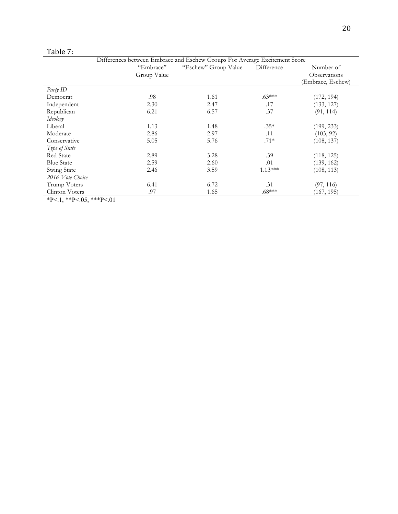|  | . . | H |  |
|--|-----|---|--|
|--|-----|---|--|

|                          | Differences between Embrace and Eschew Groups For Average Excitement Score |                      |            |                   |
|--------------------------|----------------------------------------------------------------------------|----------------------|------------|-------------------|
|                          | "Embrace"                                                                  | "Eschew" Group Value | Difference | Number of         |
|                          | Group Value                                                                |                      |            | Observations      |
|                          |                                                                            |                      |            | (Embrace, Eschew) |
| Party ID                 |                                                                            |                      |            |                   |
| Democrat                 | .98                                                                        | 1.61                 | $.63***$   | (172, 194)        |
| Independent              | 2.30                                                                       | 2.47                 | .17        | (133, 127)        |
| Republican               | 6.21                                                                       | 6.57                 | .37        | (91, 114)         |
| Ideology                 |                                                                            |                      |            |                   |
| Liberal                  | 1.13                                                                       | 1.48                 | $.35*$     | (199, 233)        |
| Moderate                 | 2.86                                                                       | 2.97                 | .11        | (103, 92)         |
| Conservative             | 5.05                                                                       | 5.76                 | $.71*$     | (108, 137)        |
| Type of State            |                                                                            |                      |            |                   |
| <b>Red State</b>         | 2.89                                                                       | 3.28                 | .39        | (118, 125)        |
| <b>Blue State</b>        | 2.59                                                                       | 2.60                 | .01        | (139, 162)        |
| Swing State              | 2.46                                                                       | 3.59                 | $1.13***$  | (108, 113)        |
| 2016 Vote Choice         |                                                                            |                      |            |                   |
| Trump Voters             | 6.41                                                                       | 6.72                 | .31        | (97, 116)         |
| Clinton Voters           | .97                                                                        | 1.65                 | $.68***$   | (167, 195)        |
| ቀከ 21 ቀቀከ 2 ሰሮ ቀቀቀከ 2 ሰ1 |                                                                            |                      |            |                   |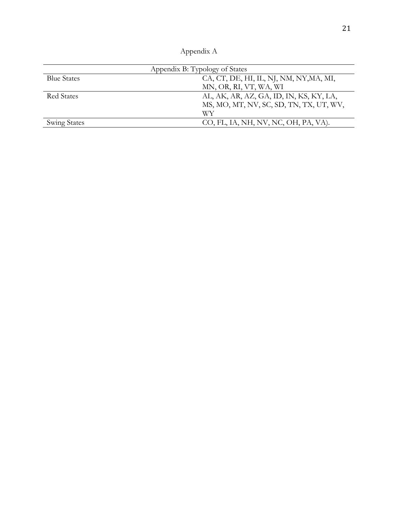| Annendix A |  |
|------------|--|
|------------|--|

| Appendix B: Typology of States |                                         |  |  |
|--------------------------------|-----------------------------------------|--|--|
| <b>Blue States</b>             | CA, CT, DE, HI, IL, NJ, NM, NY, MA, MI, |  |  |
|                                | MN, OR, RI, VT, WA, WI                  |  |  |
| Red States                     | AL, AK, AR, AZ, GA, ID, IN, KS, KY, LA, |  |  |
|                                | MS, MO, MT, NV, SC, SD, TN, TX, UT, WV, |  |  |
|                                | WY                                      |  |  |
| <b>Swing States</b>            | CO, FL, IA, NH, NV, NC, OH, PA, VA).    |  |  |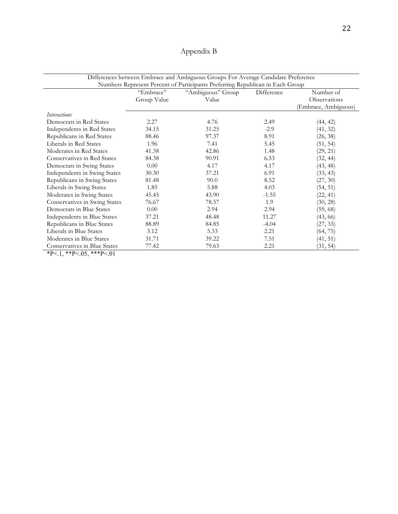| Appendix B |  |
|------------|--|
|------------|--|

| Differences between Embrace and Ambiguous Groups For Average Candidate Preference<br>Numbers Represent Percent of Participants Preferring Republican in Each Group |                          |                            |            |                           |
|--------------------------------------------------------------------------------------------------------------------------------------------------------------------|--------------------------|----------------------------|------------|---------------------------|
|                                                                                                                                                                    | "Embrace"<br>Group Value | "Ambiguous" Group<br>Value | Difference | Number of<br>Observations |
|                                                                                                                                                                    |                          |                            |            | (Embrace, Ambiguous)      |
| <i>Interactions</i>                                                                                                                                                |                          |                            |            |                           |
| Democrats in Red States                                                                                                                                            | 2.27                     | 4.76                       | 2.49       | (44, 42)                  |
| Independents in Red States                                                                                                                                         | 34.15                    | 31.25                      | $-2.9$     | (41, 32)                  |
| Republicans in Red States                                                                                                                                          | 88.46                    | 97.37                      | 8.91       | (26, 38)                  |
| Liberals in Red States                                                                                                                                             | 1.96                     | 7.41                       | 5.45       | (51, 54)                  |
| Moderates in Red States                                                                                                                                            | 41.38                    | 42.86                      | 1.48       | (29, 21)                  |
| Conservatives in Red States                                                                                                                                        | 84.38                    | 90.91                      | 6.53       | (32, 44)                  |
| Democrats in Swing States                                                                                                                                          | 0.00                     | 4.17                       | 4.17       | (43, 48)                  |
| Independents in Swing States                                                                                                                                       | 30.30                    | 37.21                      | 6.91       | (33, 43)                  |
| Republicans in Swing States                                                                                                                                        | 81.48                    | 90.0                       | 8.52       | (27, 30)                  |
| Liberals in Swing States                                                                                                                                           | 1.85                     | 5.88                       | 4.03       | (54, 51)                  |
| Moderates in Swing States                                                                                                                                          | 45.45                    | 43.90                      | $-1.55$    | (22, 41)                  |
| Conservatives in Swing States                                                                                                                                      | 76.67                    | 78.57                      | 1.9        | (30, 28)                  |
| Democrats in Blue States                                                                                                                                           | 0.00                     | 2.94                       | 2.94       | (59, 68)                  |
| Independents in Blue States                                                                                                                                        | 37.21                    | 48.48                      | 11.27      | (43, 66)                  |
| Republicans in Blue States                                                                                                                                         | 88.89                    | 84.85                      | $-4.04$    | (27, 33)                  |
| Liberals in Blue States                                                                                                                                            | 3.12                     | 5.33                       | 2.21       | (64, 75)                  |
| Moderates in Blue States                                                                                                                                           | 31.71                    | 39.22                      | 7.51       | (41, 51)                  |
| Conservatives in Blue States                                                                                                                                       | 77.42                    | 79.63                      | 2.21       | (31, 54)                  |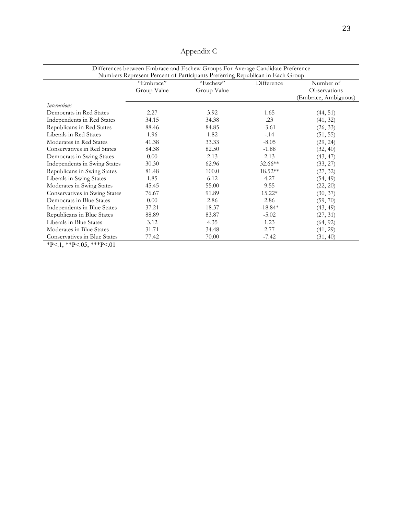|                               | "Embrace"   | Numbers Represent Percent of Participants Preferring Republican in Each Group<br>"Eschew" | Difference | Number of            |
|-------------------------------|-------------|-------------------------------------------------------------------------------------------|------------|----------------------|
|                               | Group Value | Group Value                                                                               |            | Observations         |
|                               |             |                                                                                           |            | (Embrace, Ambiguous) |
| <i>Interactions</i>           |             |                                                                                           |            |                      |
| Democrats in Red States       | 2.27        | 3.92                                                                                      | 1.65       | (44, 51)             |
| Independents in Red States    | 34.15       | 34.38                                                                                     | .23        | (41, 32)             |
| Republicans in Red States     | 88.46       | 84.85                                                                                     | $-3.61$    | (26, 33)             |
| Liberals in Red States        | 1.96        | 1.82                                                                                      | $-.14$     | (51, 55)             |
| Moderates in Red States       | 41.38       | 33.33                                                                                     | $-8.05$    | (29, 24)             |
| Conservatives in Red States   | 84.38       | 82.50                                                                                     | $-1.88$    | (32, 40)             |
| Democrats in Swing States     | 0.00        | 2.13                                                                                      | 2.13       | (43, 47)             |
| Independents in Swing States  | 30.30       | 62.96                                                                                     | 32.66**    | (33, 27)             |
| Republicans in Swing States   | 81.48       | 100.0                                                                                     | 18.52**    | (27, 32)             |
| Liberals in Swing States      | 1.85        | 6.12                                                                                      | 4.27       | (54, 49)             |
| Moderates in Swing States     | 45.45       | 55.00                                                                                     | 9.55       | (22, 20)             |
| Conservatives in Swing States | 76.67       | 91.89                                                                                     | 15.22*     | (30, 37)             |
| Democrats in Blue States      | 0.00        | 2.86                                                                                      | 2.86       | (59, 70)             |
| Independents in Blue States   | 37.21       | 18.37                                                                                     | $-18.84*$  | (43, 49)             |
| Republicans in Blue States    | 88.89       | 83.87                                                                                     | $-5.02$    | (27, 31)             |
| Liberals in Blue States       | 3.12        | 4.35                                                                                      | 1.23       | (64, 92)             |
| Moderates in Blue States      | 31.71       | 34.48                                                                                     | 2.77       | (41, 29)             |
| Conservatives in Blue States  | 77.42       | 70.00                                                                                     | $-7.42$    | (31, 40)             |

# Appendix C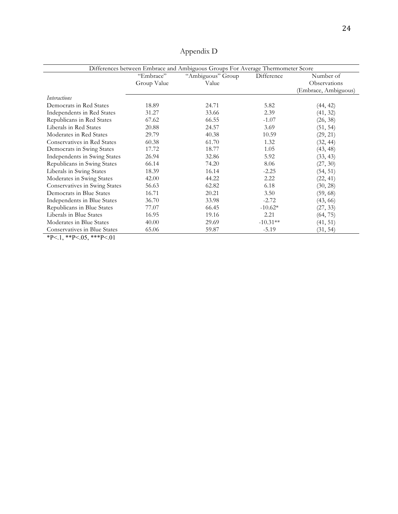|                               | "Embrace"   | "Ambiguous" Group<br>Value | Difference | Number of                            |
|-------------------------------|-------------|----------------------------|------------|--------------------------------------|
|                               | Group Value |                            |            | Observations<br>(Embrace, Ambiguous) |
|                               |             |                            |            |                                      |
| <i>Interactions</i>           |             |                            |            |                                      |
| Democrats in Red States       | 18.89       | 24.71                      | 5.82       | (44, 42)                             |
| Independents in Red States    | 31.27       | 33.66                      | 2.39       | (41, 32)                             |
| Republicans in Red States     | 67.62       | 66.55                      | $-1.07$    | (26, 38)                             |
| Liberals in Red States        | 20.88       | 24.57                      | 3.69       | (51, 54)                             |
| Moderates in Red States       | 29.79       | 40.38                      | 10.59      | (29, 21)                             |
| Conservatives in Red States   | 60.38       | 61.70                      | 1.32       | (32, 44)                             |
| Democrats in Swing States     | 17.72       | 18.77                      | 1.05       | (43, 48)                             |
| Independents in Swing States  | 26.94       | 32.86                      | 5.92       | (33, 43)                             |
| Republicans in Swing States   | 66.14       | 74.20                      | 8.06       | (27, 30)                             |
| Liberals in Swing States      | 18.39       | 16.14                      | $-2.25$    | (54, 51)                             |
| Moderates in Swing States     | 42.00       | 44.22                      | 2.22       | (22, 41)                             |
| Conservatives in Swing States | 56.63       | 62.82                      | 6.18       | (30, 28)                             |
| Democrats in Blue States      | 16.71       | 20.21                      | 3.50       | (59, 68)                             |
| Independents in Blue States   | 36.70       | 33.98                      | $-2.72$    | (43, 66)                             |
| Republicans in Blue States    | 77.07       | 66.45                      | $-10.62*$  | (27, 33)                             |
| Liberals in Blue States       | 16.95       | 19.16                      | 2.21       | (64, 75)                             |
| Moderates in Blue States      | 40.00       | 29.69                      | $-10.31**$ | (41, 51)                             |
| Conservatives in Blue States  | 65.06       | 59.87                      | $-5.19$    | (31, 54)                             |

Appendix D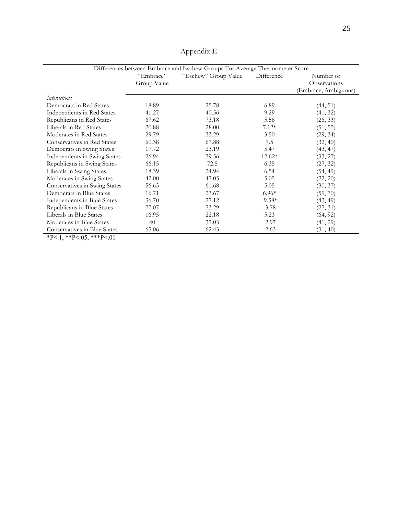|                               | "Embrace"<br>Group Value | "Eschew" Group Value | Difference | Number of<br>Observations |
|-------------------------------|--------------------------|----------------------|------------|---------------------------|
|                               |                          |                      |            | (Embrace, Ambiguous)      |
| <i>Interactions</i>           |                          |                      |            |                           |
| Democrats in Red States       | 18.89                    | 25.78                | 6.89       | (44, 51)                  |
| Independents in Red States    | 41.27                    | 40.56                | 9.29       | (41, 32)                  |
| Republicans in Red States     | 67.62                    | 73.18                | 5.56       | (26, 33)                  |
| Liberals in Red States        | 20.88                    | 28.00                | $7.12*$    | (51, 55)                  |
| Moderates in Red States       | 29.79                    | 33.29                | 3.50       | (29, 34)                  |
| Conservatives in Red States   | 60.38                    | 67.88                | 7.5        | (32, 40)                  |
| Democrats in Swing States     | 17.72                    | 23.19                | 5.47       | (43, 47)                  |
| Independents in Swing States  | 26.94                    | 39.56                | $12.62*$   | (33, 27)                  |
| Republicans in Swing States   | 66.15                    | 72.5                 | 6.35       | (27, 32)                  |
| Liberals in Swing States      | 18.39                    | 24.94                | 6.54       | (54, 49)                  |
| Moderates in Swing States     | 42.00                    | 47.05                | 5.05       | (22, 20)                  |
| Conservatives in Swing States | 56.63                    | 61.68                | 5.05       | (30, 37)                  |
| Democrats in Blue States      | 16.71                    | 23.67                | $6.96*$    | (59, 70)                  |
| Independents in Blue States   | 36.70                    | 27.12                | $-9.58*$   | (43, 49)                  |
| Republicans in Blue States    | 77.07                    | 73.29                | $-3.78$    | (27, 31)                  |
| Liberals in Blue States       | 16.95                    | 22.18                | 5.23       | (64, 92)                  |
| Moderates in Blue States      | 40                       | 37.03                | $-2.97$    | (41, 29)                  |
| Conservatives in Blue States  | 65.06                    | 62.43                | $-2.63$    | (31, 40)                  |

Appendix E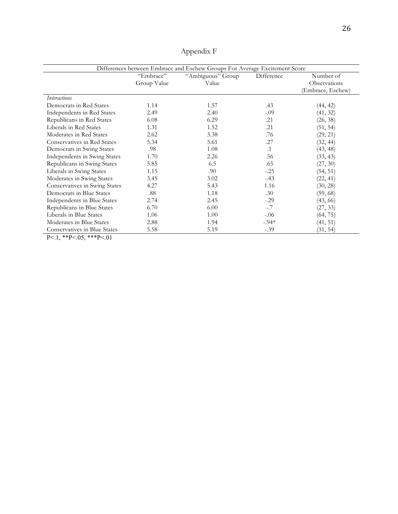|                               | "Embrace"   | "Ambiguous" Group | Difference | Number of                         |
|-------------------------------|-------------|-------------------|------------|-----------------------------------|
|                               | Group Value | Value             |            | Observations<br>(Embrace, Eschew) |
|                               |             |                   |            |                                   |
| <i>Interactions</i>           |             |                   |            |                                   |
| Democrats in Red States       | 1.14        | 1.57              | .43        | (44, 42)                          |
| Independents in Red States    | 2.49        | 2.40              | $-.09$     | (41, 32)                          |
| Republicans in Red States     | 6.08        | 6.29              | .21        | (26, 38)                          |
| Liberals in Red States        | 1.31        | 1.52              | .21        | (51, 54)                          |
| Moderates in Red States       | 2.62        | 3.38              | .76        | (29, 21)                          |
| Conservatives in Red States   | 5.34        | 5.61              | .27        | (32, 44)                          |
| Democrats in Swing States     | .98         | 1.08              | $\cdot$ 1  | (43, 48)                          |
| Independents in Swing States  | 1.70        | 2.26              | .56        | (33, 43)                          |
| Republicans in Swing States   | 5.85        | 6.5               | .65        | (27, 30)                          |
| Liberals in Swing States      | 1.15        | .90               | $-.25$     | (54, 51)                          |
| Moderates in Swing States     | 3.45        | 3.02              | $-.43$     | (22, 41)                          |
| Conservatives in Swing States | 4.27        | 5.43              | 1.16       | (30, 28)                          |
| Democrats in Blue States      | .88         | 1.18              | .30        | (59, 68)                          |
| Independents in Blue States   | 2.74        | 2.45              | $-.29$     | (43, 66)                          |
| Republicans in Blue States    | 6.70        | 6.00              | $-.7$      | (27, 33)                          |
| Liberals in Blue States       | 1.06        | 1.00              | $-.06$     | (64, 75)                          |
| Moderates in Blue States      | 2.88        | 1.94              | $-.94*$    | (41, 51)                          |
| Conservatives in Blue States  | 5.58        | 5.19              | $-.39$     | (31, 54)                          |

Appendix F

 $\frac{\text{Conservative in blue state}}{P^2}$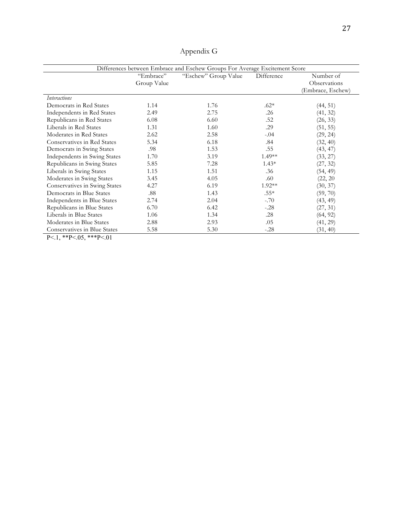|                               | "Embrace"<br>Group Value | "Eschew" Group Value | Difference | Number of<br>Observations<br>(Embrace, Eschew) |
|-------------------------------|--------------------------|----------------------|------------|------------------------------------------------|
| <b>Interactions</b>           |                          |                      |            |                                                |
| Democrats in Red States       | 1.14                     | 1.76                 | $.62*$     | (44, 51)                                       |
| Independents in Red States    | 2.49                     | 2.75                 | .26        | (41, 32)                                       |
| Republicans in Red States     | 6.08                     | 6.60                 | .52        | (26, 33)                                       |
| Liberals in Red States        | 1.31                     | 1.60                 | .29        | (51, 55)                                       |
| Moderates in Red States       | 2.62                     | 2.58                 | $-.04$     | (29, 24)                                       |
| Conservatives in Red States   | 5.34                     | 6.18                 | .84        | (32, 40)                                       |
| Democrats in Swing States     | .98                      | 1.53                 | .55        | (43, 47)                                       |
| Independents in Swing States  | 1.70                     | 3.19                 | $1.49**$   | (33, 27)                                       |
| Republicans in Swing States   | 5.85                     | 7.28                 | $1.43*$    | (27, 32)                                       |
| Liberals in Swing States      | 1.15                     | 1.51                 | .36        | (54, 49)                                       |
| Moderates in Swing States     | 3.45                     | 4.05                 | .60        | (22, 20)                                       |
| Conservatives in Swing States | 4.27                     | 6.19                 | 1.92**     | (30, 37)                                       |
| Democrats in Blue States      | .88                      | 1.43                 | $.55*$     | (59, 70)                                       |
| Independents in Blue States   | 2.74                     | 2.04                 | $-.70$     | (43, 49)                                       |
| Republicans in Blue States    | 6.70                     | 6.42                 | $-.28$     | (27, 31)                                       |
| Liberals in Blue States       | 1.06                     | 1.34                 | .28        | (64, 92)                                       |
| Moderates in Blue States      | 2.88                     | 2.93                 | .05        | (41, 29)                                       |
| Conservatives in Blue States  | 5.58                     | 5.30                 | $-.28$     | (31, 40)                                       |

Appendix G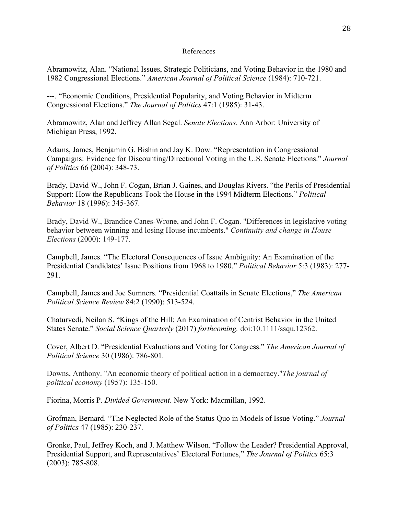#### References

Abramowitz, Alan. "National Issues, Strategic Politicians, and Voting Behavior in the 1980 and 1982 Congressional Elections." *American Journal of Political Science* (1984): 710-721.

---. "Economic Conditions, Presidential Popularity, and Voting Behavior in Midterm Congressional Elections." *The Journal of Politics* 47:1 (1985): 31-43.

Abramowitz, Alan and Jeffrey Allan Segal. *Senate Elections*. Ann Arbor: University of Michigan Press, 1992.

Adams, James, Benjamin G. Bishin and Jay K. Dow. "Representation in Congressional Campaigns: Evidence for Discounting/Directional Voting in the U.S. Senate Elections." *Journal of Politics* 66 (2004): 348-73.

Brady, David W., John F. Cogan, Brian J. Gaines, and Douglas Rivers. "the Perils of Presidential Support: How the Republicans Took the House in the 1994 Midterm Elections." *Political Behavior* 18 (1996): 345-367.

Brady, David W., Brandice Canes-Wrone, and John F. Cogan. "Differences in legislative voting behavior between winning and losing House incumbents." *Continuity and change in House Elections* (2000): 149-177.

Campbell, James. "The Electoral Consequences of Issue Ambiguity: An Examination of the Presidential Candidates' Issue Positions from 1968 to 1980." *Political Behavior* 5:3 (1983): 277- 291.

Campbell, James and Joe Sumners. "Presidential Coattails in Senate Elections," *The American Political Science Review* 84:2 (1990): 513-524.

Chaturvedi, Neilan S. "Kings of the Hill: An Examination of Centrist Behavior in the United States Senate." *Social Science Quarterly* (2017) *forthcoming.* doi:10.1111/ssqu.12362.

Cover, Albert D. "Presidential Evaluations and Voting for Congress." *The American Journal of Political Science* 30 (1986): 786-801.

Downs, Anthony. "An economic theory of political action in a democracy."*The journal of political economy* (1957): 135-150.

Fiorina, Morris P. *Divided Government*. New York: Macmillan, 1992.

Grofman, Bernard. "The Neglected Role of the Status Quo in Models of Issue Voting." *Journal of Politics* 47 (1985): 230-237.

Gronke, Paul, Jeffrey Koch, and J. Matthew Wilson. "Follow the Leader? Presidential Approval, Presidential Support, and Representatives' Electoral Fortunes," *The Journal of Politics* 65:3 (2003): 785-808.